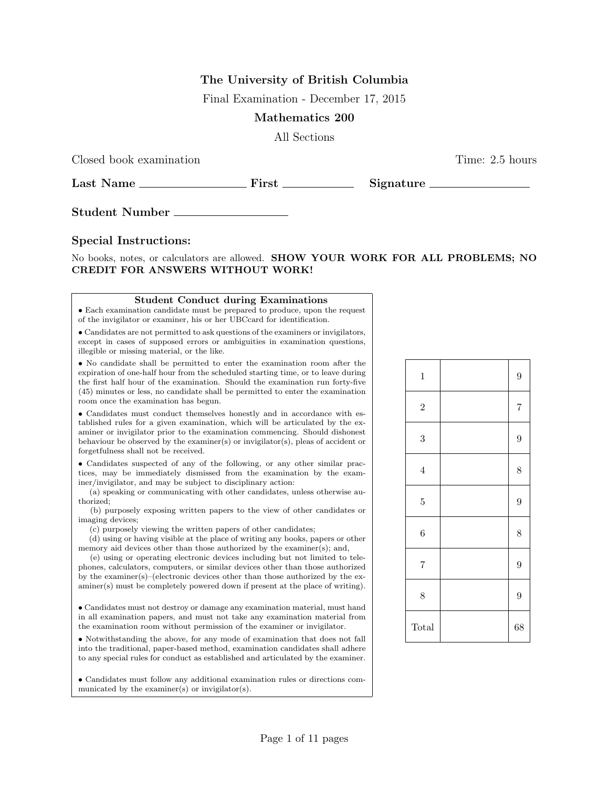# The University of British Columbia

Final Examination - December 17, 2015

## Mathematics 200

All Sections

Closed book examination Time: 2.5 hours

Last Name First Signature

Student Number

### Special Instructions:

No books, notes, or calculators are allowed. SHOW YOUR WORK FOR ALL PROBLEMS; NO CREDIT FOR ANSWERS WITHOUT WORK!

#### Student Conduct during Examinations

• Each examination candidate must be prepared to produce, upon the request of the invigilator or examiner, his or her UBCcard for identification.

• Candidates are not permitted to ask questions of the examiners or invigilators, except in cases of supposed errors or ambiguities in examination questions, illegible or missing material, or the like.

• No candidate shall be permitted to enter the examination room after the expiration of one-half hour from the scheduled starting time, or to leave during the first half hour of the examination. Should the examination run forty-five (45) minutes or less, no candidate shall be permitted to enter the examination room once the examination has begun.

 $\bullet$  Candidates must conduct themselves honestly and in accordance with established rules for a given examination, which will be articulated by the examiner or invigilator prior to the examination commencing. Should dishonest behaviour be observed by the examiner(s) or invigilator(s), pleas of accident or forgetfulness shall not be received.

• Candidates suspected of any of the following, or any other similar practices, may be immediately dismissed from the examination by the examiner/invigilator, and may be subject to disciplinary action:

(a) speaking or communicating with other candidates, unless otherwise authorized;

(b) purposely exposing written papers to the view of other candidates or imaging devices;

(c) purposely viewing the written papers of other candidates;

(d) using or having visible at the place of writing any books, papers or other memory aid devices other than those authorized by the examiner(s); and,

(e) using or operating electronic devices including but not limited to telephones, calculators, computers, or similar devices other than those authorized by the examiner(s)–(electronic devices other than those authorized by the examiner(s) must be completely powered down if present at the place of writing).

• Candidates must not destroy or damage any examination material, must hand in all examination papers, and must not take any examination material from the examination room without permission of the examiner or invigilator.

• Notwithstanding the above, for any mode of examination that does not fall into the traditional, paper-based method, examination candidates shall adhere to any special rules for conduct as established and articulated by the examiner.

• Candidates must follow any additional examination rules or directions communicated by the examiner(s) or invigilator(s).

| $\mathbf{1}$     | $\overline{9}$ |
|------------------|----------------|
| $\overline{2}$   | $\overline{7}$ |
| $\boldsymbol{3}$ | $\overline{9}$ |
| $\,4\,$          | 8              |
| $\overline{5}$   | $\overline{9}$ |
| $\boldsymbol{6}$ | 8              |
| $\overline{7}$   | $\overline{9}$ |
| 8                | 9              |
| Total            | 68             |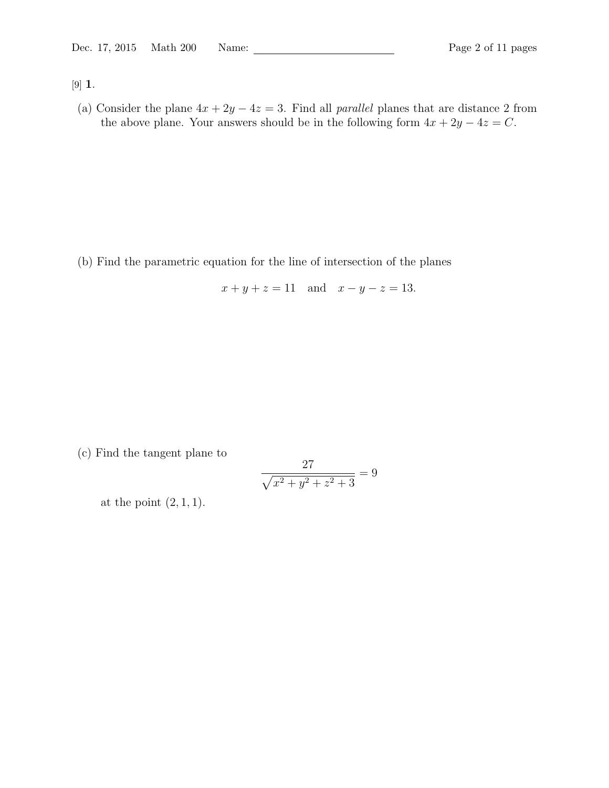[9] 1.

(a) Consider the plane  $4x + 2y - 4z = 3$ . Find all *parallel* planes that are distance 2 from the above plane. Your answers should be in the following form  $4x + 2y - 4z = C$ .

(b) Find the parametric equation for the line of intersection of the planes

 $x + y + z = 11$  and  $x - y - z = 13$ .

(c) Find the tangent plane to

$$
\frac{27}{\sqrt{x^2 + y^2 + z^2 + 3}} = 9
$$

at the point  $(2, 1, 1)$ .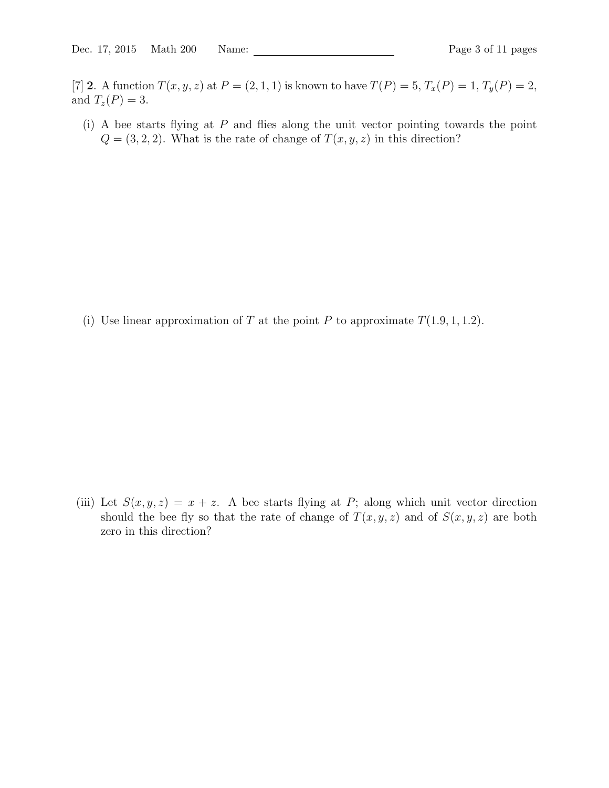[7] 2. A function  $T(x, y, z)$  at  $P = (2, 1, 1)$  is known to have  $T(P) = 5, T_x(P) = 1, T_y(P) = 2$ , and  $T_z(P) = 3$ .

 $(i)$  A bee starts flying at P and flies along the unit vector pointing towards the point  $Q = (3, 2, 2)$ . What is the rate of change of  $T(x, y, z)$  in this direction?

(i) Use linear approximation of T at the point P to approximate  $T(1.9, 1, 1.2)$ .

(iii) Let  $S(x, y, z) = x + z$ . A bee starts flying at P; along which unit vector direction should the bee fly so that the rate of change of  $T(x, y, z)$  and of  $S(x, y, z)$  are both zero in this direction?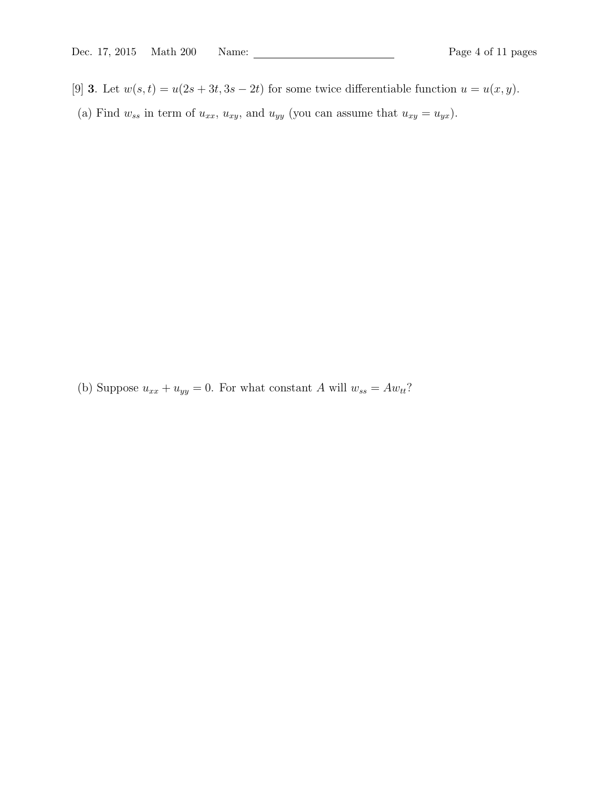- [9] 3. Let  $w(s,t) = u(2s+3t, 3s-2t)$  for some twice differentiable function  $u = u(x, y)$ .
- (a) Find  $w_{ss}$  in term of  $u_{xx}$ ,  $u_{xy}$ , and  $u_{yy}$  (you can assume that  $u_{xy} = u_{yx}$ ).

(b) Suppose  $u_{xx} + u_{yy} = 0$ . For what constant A will  $w_{ss} = Aw_{tt}$ ?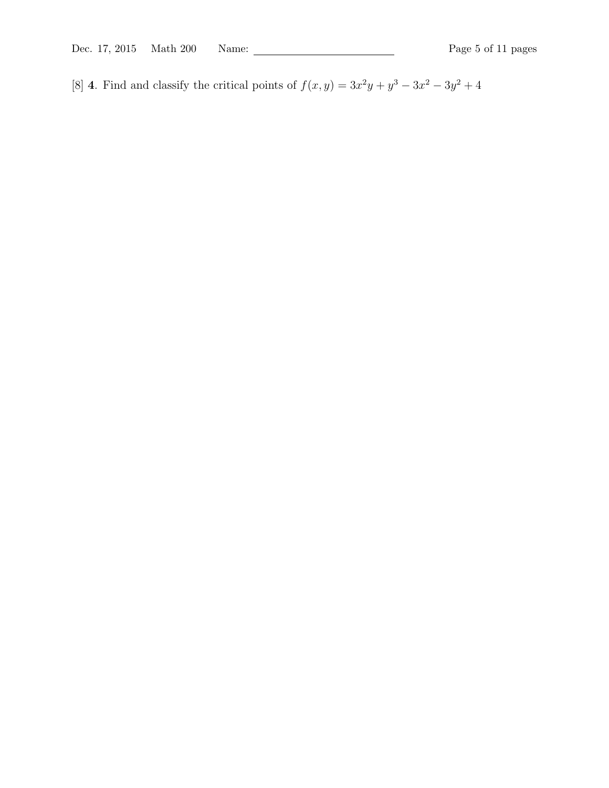[8] 4. Find and classify the critical points of  $f(x, y) = 3x^2y + y^3 - 3x^2 - 3y^2 + 4$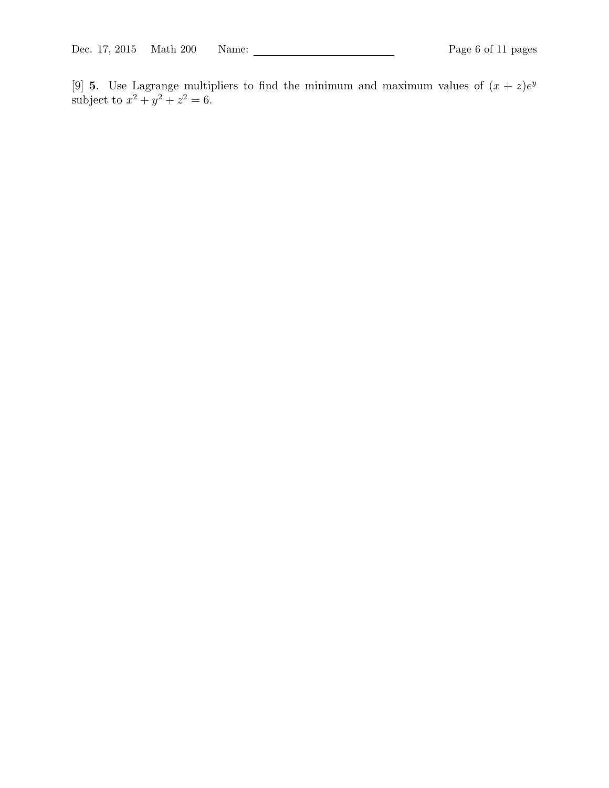[9] **5**. Use Lagrange multipliers to find the minimum and maximum values of  $(x + z)e^y$ subject to  $x^2 + y^2 + z^2 = 6$ .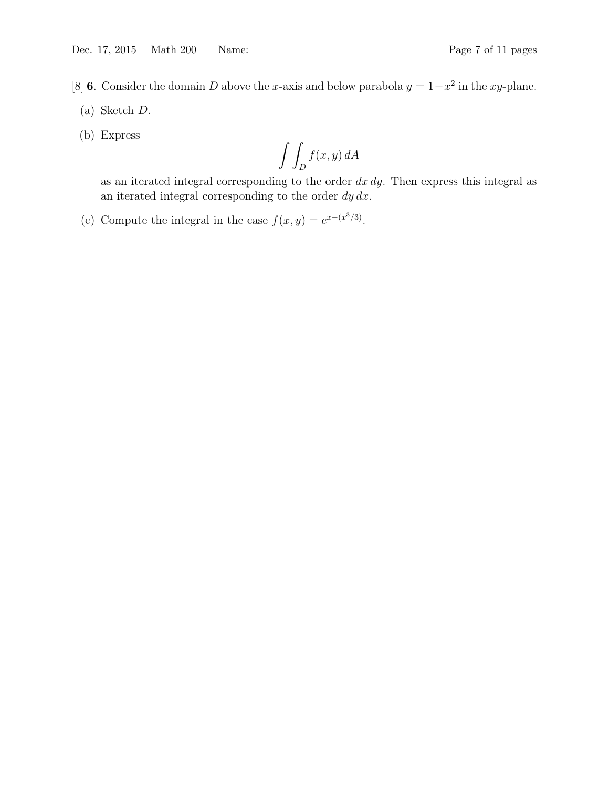- [8] 6. Consider the domain D above the x-axis and below parabola  $y = 1-x^2$  in the xy-plane.
- (a) Sketch D.
- (b) Express

$$
\int\int_D f(x,y)\,dA
$$

as an iterated integral corresponding to the order  $dx dy$ . Then express this integral as an iterated integral corresponding to the order  $dy dx$ .

(c) Compute the integral in the case  $f(x, y) = e^{x - (x^3/3)}$ .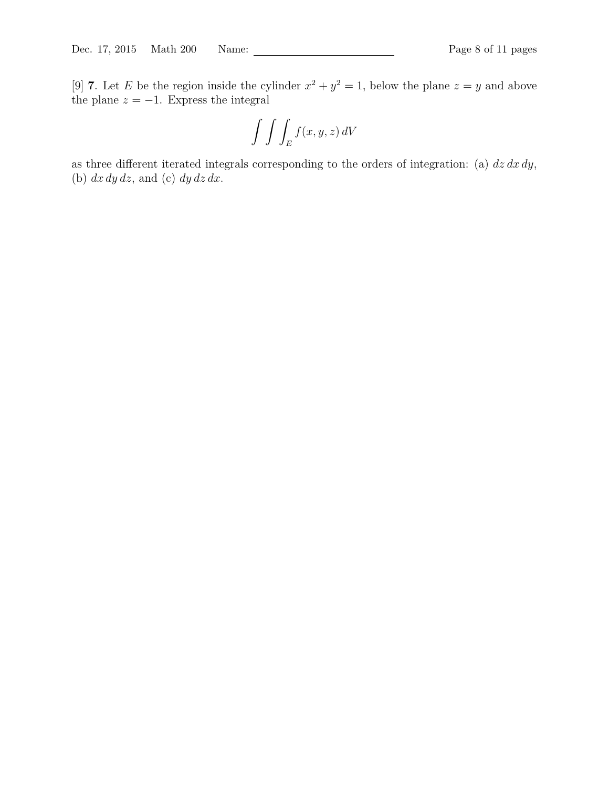[9] **7**. Let E be the region inside the cylinder  $x^2 + y^2 = 1$ , below the plane  $z = y$  and above the plane  $z = -1$ . Express the integral

$$
\int \int \int_E f(x, y, z) \, dV
$$

as three different iterated integrals corresponding to the orders of integration: (a)  $dz dx dy$ , (b)  $dx dy dz$ , and (c)  $dy dz dx$ .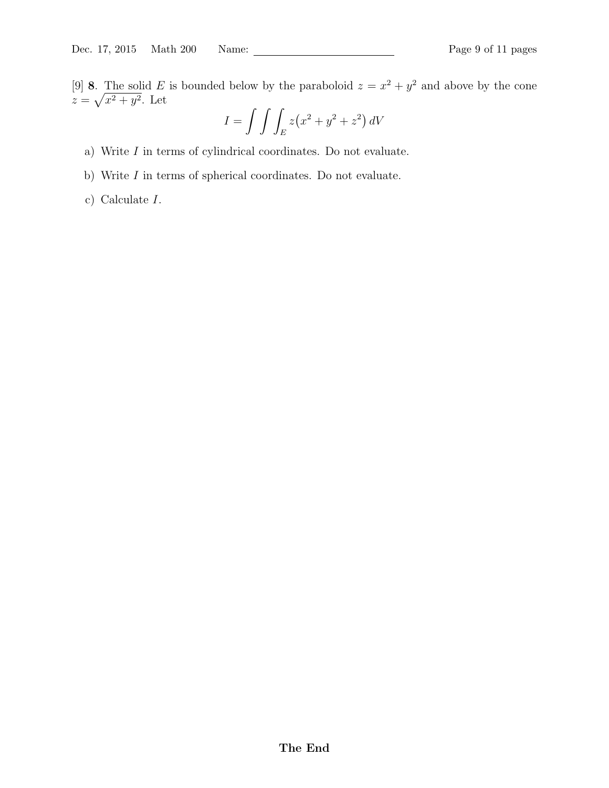$$
I = \int \int \int_E z(x^2 + y^2 + z^2) dV
$$

- a) Write  $I$  in terms of cylindrical coordinates. Do not evaluate.
- b) Write  $I$  in terms of spherical coordinates. Do not evaluate.
- c) Calculate I.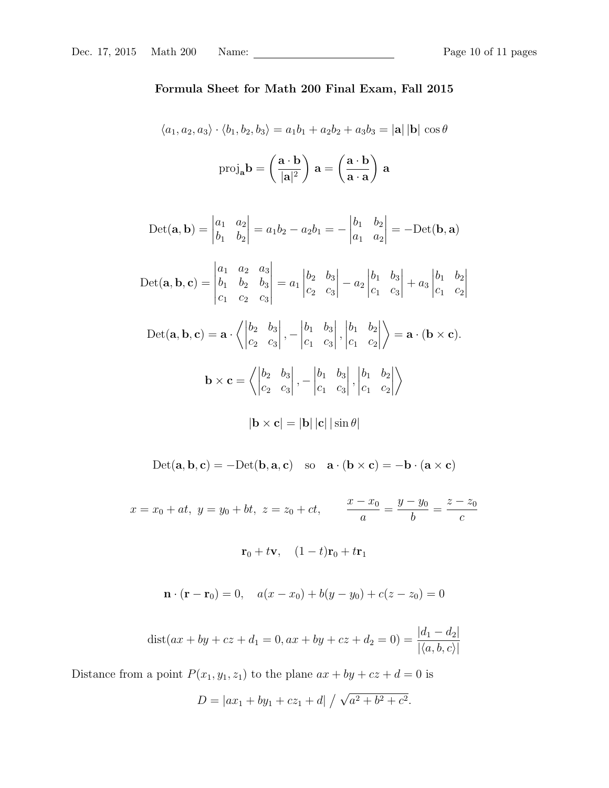### Formula Sheet for Math 200 Final Exam, Fall 2015

$$
\langle a_1, a_2, a_3 \rangle \cdot \langle b_1, b_2, b_3 \rangle = a_1 b_1 + a_2 b_2 + a_3 b_3 = |\mathbf{a}| |\mathbf{b}| \cos \theta
$$

$$
\text{proj}_{\mathbf{a}} \mathbf{b} = \left(\frac{\mathbf{a} \cdot \mathbf{b}}{|\mathbf{a}|^2}\right) \mathbf{a} = \left(\frac{\mathbf{a} \cdot \mathbf{b}}{|\mathbf{a} \cdot \mathbf{a}}\right) \mathbf{a}
$$

$$
Det(\mathbf{a}, \mathbf{b}) = \begin{vmatrix} a_1 & a_2 \\ b_1 & b_2 \end{vmatrix} = a_1b_2 - a_2b_1 = -\begin{vmatrix} b_1 & b_2 \\ a_1 & a_2 \end{vmatrix} = -Det(\mathbf{b}, \mathbf{a})
$$

$$
\text{Det}(\mathbf{a}, \mathbf{b}, \mathbf{c}) = \begin{vmatrix} a_1 & a_2 & a_3 \\ b_1 & b_2 & b_3 \\ c_1 & c_2 & c_3 \end{vmatrix} = a_1 \begin{vmatrix} b_2 & b_3 \\ c_2 & c_3 \end{vmatrix} - a_2 \begin{vmatrix} b_1 & b_3 \\ c_1 & c_3 \end{vmatrix} + a_3 \begin{vmatrix} b_1 & b_2 \\ c_1 & c_2 \end{vmatrix}
$$

 $Det(**a**, **b**, **c**) = **a**$  $\bigg\langle \bigg|$  $b_2$   $b_3$  $c_2$   $c_3$  $\begin{array}{c} \begin{array}{c} \begin{array}{c} \end{array} \\ \begin{array}{c} \end{array} \end{array} \end{array}$ , −  $\begin{array}{c} \begin{array}{c} \begin{array}{c} \end{array} \\ \begin{array}{c} \end{array} \end{array} \end{array}$  $b_1$   $b_3$  $c_1$   $c_3$  $\begin{array}{c} \hline \rule{0pt}{2.2ex} \\ \rule{0pt}{2.2ex} \end{array}$ ,  $\begin{array}{c} \hline \rule{0pt}{2.5ex} \\ \rule{0pt}{2.5ex} \end{array}$  $b_1$   $b_2$  $c_1$   $c_2$  $\begin{array}{c} \begin{array}{c} \begin{array}{c} \begin{array}{c} \end{array}\\ \begin{array}{c} \end{array}\\ \begin{array}{c} \end{array}\\ \begin{array}{c} \end{array}\\ \begin{array}{c} \end{array}\\ \begin{array}{c} \end{array}\\ \begin{array}{c} \end{array}\\ \begin{array}{c} \end{array}\\ \begin{array}{c} \end{array}\\ \begin{array}{c} \end{array}\\ \begin{array}{c} \end{array}\\ \begin{array}{c} \end{array}\\ \begin{array}{c} \end{array}\\ \begin{array}{c} \end{array}\\ \begin{array}{c} \end{array}\\ \begin{array}{c} \end{array}\\ \begin{array}{c}$  $\setminus$  $= \mathbf{a} \cdot (\mathbf{b} \times \mathbf{c}).$  $\mathbf{b} \times \mathbf{c} =$  $\left\langle \right|$  $b_2$   $b_3$  $c_2$   $c_3$  , −  $b_1$   $b_3$  $c_1$   $c_3$  ,  $b_1$   $b_2$  $c_1$   $c_2$  $\begin{array}{c} \begin{array}{c} \begin{array}{c} \end{array} \\ \begin{array}{c} \end{array} \end{array} \end{array}$  $\setminus$ 

$$
|\mathbf{b} \times \mathbf{c}| = |\mathbf{b}| |\mathbf{c}| |\sin \theta|
$$

 $\text{Det}(\mathbf{a},\mathbf{b},\mathbf{c}) = -\text{Det}(\mathbf{b},\mathbf{a},\mathbf{c}) \quad \text{so} \quad \mathbf{a} \cdot (\mathbf{b} \times \mathbf{c}) = -\mathbf{b} \cdot (\mathbf{a} \times \mathbf{c})$ 

 $x = x_0 + at$ ,  $y = y_0 + bt$ ,  $z = z_0 + ct$ ,  $x - x_0$ a  $=\frac{y-y_0}{y}$ b  $=\frac{z-z_0}{z}$ c

$$
\mathbf{r}_0 + t\mathbf{v}, \quad (1-t)\mathbf{r}_0 + t\mathbf{r}_1
$$

$$
\mathbf{n} \cdot (\mathbf{r} - \mathbf{r}_0) = 0, \quad a(x - x_0) + b(y - y_0) + c(z - z_0) = 0
$$

$$
dist(ax + by + cz + d_1 = 0, ax + by + cz + d_2 = 0) = \frac{|d_1 - d_2|}{|\langle a, b, c \rangle|}
$$

Distance from a point  $P(x_1, y_1, z_1)$  to the plane  $ax + by + cz + d = 0$  is

$$
D = |ax_1 + by_1 + cz_1 + d| / \sqrt{a^2 + b^2 + c^2}.
$$